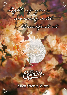Light up your morning with Breakfast at



Buon Giorno Menu